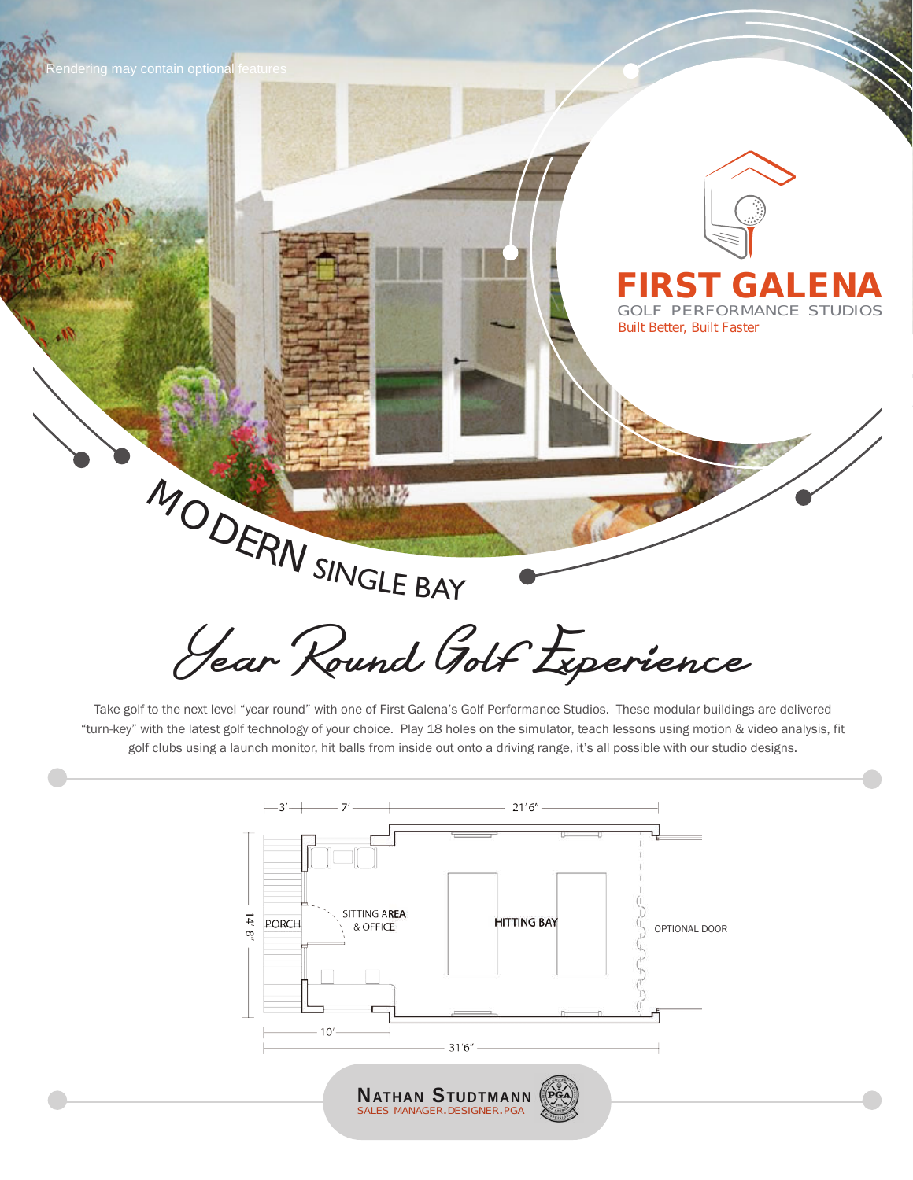

Take golf to the next level "year round" with one of First Galena's Golf Performance Studios. These modular buildings are delivered "turn-key" with the latest golf technology of your choice. Play 18 holes on the simulator, teach lessons using motion & video analysis, fit golf clubs using a launch monitor, hit balls from inside out onto a driving range, it's all possible with our studio designs.